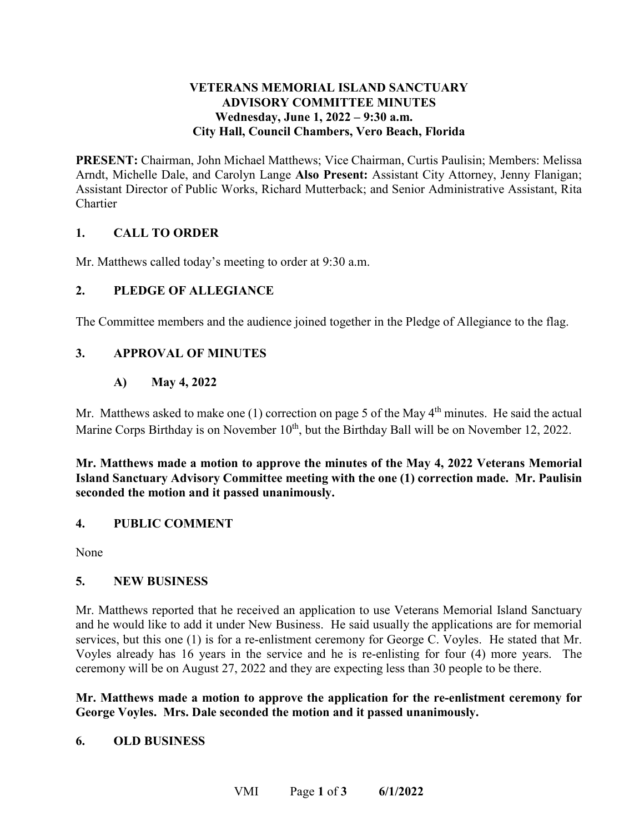## **VETERANS MEMORIAL ISLAND SANCTUARY ADVISORY COMMITTEE MINUTES**  Wednesday, June 1, 2022 – 9:30 a.m. **City Hall, Council Chambers, Vero Beach, Florida**

**PRESENT:** Chairman, John Michael Matthews; Vice Chairman, Curtis Paulisin; Members: Melissa Arndt, Michelle Dale, and Carolyn Lange **Also Present:** Assistant City Attorney, Jenny Flanigan; Assistant Director of Public Works, Richard Mutterback; and Senior Administrative Assistant, Rita Chartier

# **1. CALL TO ORDER**

Mr. Matthews called today's meeting to order at 9:30 a.m.

## **2. PLEDGE OF ALLEGIANCE**

The Committee members and the audience joined together in the Pledge of Allegiance to the flag.

## **3. APPROVAL OF MINUTES**

# **A) May 4, 2022**

Marine Corps Birthday is on November 10<sup>th</sup>, but the Birthday Ball will be on November 12, 2022. Mr. Matthews asked to make one  $(1)$  correction on page 5 of the May  $4<sup>th</sup>$  minutes. He said the actual

**Mr. Matthews made a motion to approve the minutes of the May 4, 2022 Veterans Memorial Island Sanctuary Advisory Committee meeting with the one (1) correction made. Mr. Paulisin seconded the motion and it passed unanimously.** 

### **4. PUBLIC COMMENT**

None

### **5. NEW BUSINESS**

 Mr. Matthews reported that he received an application to use Veterans Memorial Island Sanctuary services, but this one (1) is for a re-enlistment ceremony for George C. Voyles. He stated that Mr. Voyles already has 16 years in the service and he is re-enlisting for four (4) more years. The ceremony will be on August 27, 2022 and they are expecting less than 30 people to be there. and he would like to add it under New Business. He said usually the applications are for memorial

 **George Voyles. Mrs. Dale seconded the motion and it passed unanimously. Mr. Matthews made a motion to approve the application for the re-enlistment ceremony for** 

### **6. OLD BUSINESS**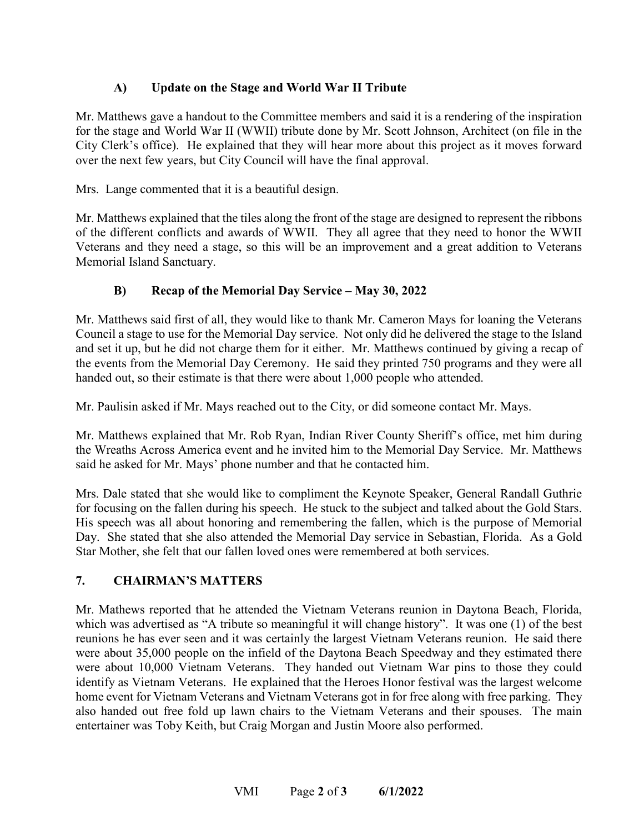# **A) Update on the Stage and World War II Tribute**

 City Clerk's office). He explained that they will hear more about this project as it moves forward over the next few years, but City Council will have the final approval. Mr. Matthews gave a handout to the Committee members and said it is a rendering of the inspiration for the stage and World War II (WWII) tribute done by Mr. Scott Johnson, Architect (on file in the

Mrs. Lange commented that it is a beautiful design.

Mr. Matthews explained that the tiles along the front of the stage are designed to represent the ribbons of the different conflicts and awards of WWII. They all agree that they need to honor the WWII Veterans and they need a stage, so this will be an improvement and a great addition to Veterans Memorial Island Sanctuary.

# **B) Recap of the Memorial Day Service – May 30, 2022**

 Mr. Matthews said first of all, they would like to thank Mr. Cameron Mays for loaning the Veterans Council a stage to use for the Memorial Day service. Not only did he delivered the stage to the Island and set it up, but he did not charge them for it either. Mr. Matthews continued by giving a recap of the events from the Memorial Day Ceremony. He said they printed 750 programs and they were all handed out, so their estimate is that there were about 1,000 people who attended.

Mr. Paulisin asked if Mr. Mays reached out to the City, or did someone contact Mr. Mays.

 the Wreaths Across America event and he invited him to the Memorial Day Service. Mr. Matthews Mr. Matthews explained that Mr. Rob Ryan, Indian River County Sheriff's office, met him during said he asked for Mr. Mays' phone number and that he contacted him.

 Mrs. Dale stated that she would like to compliment the Keynote Speaker, General Randall Guthrie for focusing on the fallen during his speech. He stuck to the subject and talked about the Gold Stars. His speech was all about honoring and remembering the fallen, which is the purpose of Memorial Day. She stated that she also attended the Memorial Day service in Sebastian, Florida. As a Gold Star Mother, she felt that our fallen loved ones were remembered at both services.

# **7. CHAIRMAN'S MATTERS**

 were about 10,000 Vietnam Veterans. They handed out Vietnam War pins to those they could Mr. Mathews reported that he attended the Vietnam Veterans reunion in Daytona Beach, Florida, which was advertised as "A tribute so meaningful it will change history". It was one (1) of the best reunions he has ever seen and it was certainly the largest Vietnam Veterans reunion. He said there were about 35,000 people on the infield of the Daytona Beach Speedway and they estimated there identify as Vietnam Veterans. He explained that the Heroes Honor festival was the largest welcome home event for Vietnam Veterans and Vietnam Veterans got in for free along with free parking. They also handed out free fold up lawn chairs to the Vietnam Veterans and their spouses. The main entertainer was Toby Keith, but Craig Morgan and Justin Moore also performed.